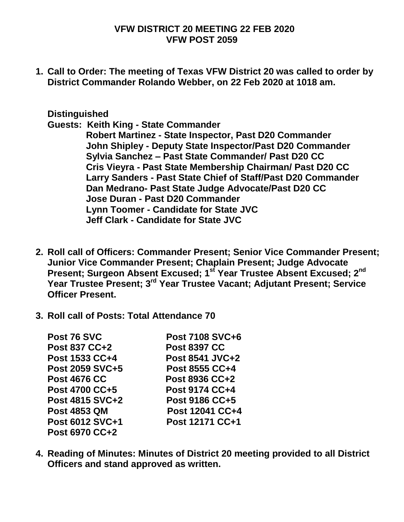## **VFW DISTRICT 20 MEETING 22 FEB 2020 VFW POST 2059**

**1. Call to Order: The meeting of Texas VFW District 20 was called to order by District Commander Rolando Webber, on 22 Feb 2020 at 1018 am.**

## **Distinguished**

**Guests: Keith King - State Commander** 

 **Robert Martinez - State Inspector, Past D20 Commander John Shipley - Deputy State Inspector/Past D20 Commander Sylvia Sanchez – Past State Commander/ Past D20 CC Cris Vieyra - Past State Membership Chairman/ Past D20 CC Larry Sanders - Past State Chief of Staff/Past D20 Commander Dan Medrano- Past State Judge Advocate/Past D20 CC Jose Duran - Past D20 Commander Lynn Toomer - Candidate for State JVC Jeff Clark - Candidate for State JVC** 

- **2. Roll call of Officers: Commander Present; Senior Vice Commander Present; Junior Vice Commander Present; Chaplain Present; Judge Advocate Present; Surgeon Absent Excused; 1st Year Trustee Absent Excused; 2nd Year Trustee Present; 3rd Year Trustee Vacant; Adjutant Present; Service Officer Present.**
- **3. Roll call of Posts: Total Attendance 70**

| Post 76 SVC                                              | <b>Post 7108 SVC+6</b>                             |                     |                 |
|----------------------------------------------------------|----------------------------------------------------|---------------------|-----------------|
| <b>Post 837 CC+2</b>                                     | <b>Post 8397 CC</b>                                |                     |                 |
| Post 1533 CC+4                                           | Post 8541 JVC+2                                    |                     |                 |
| <b>Post 2059 SVC+5</b>                                   | Post 8555 CC+4                                     |                     |                 |
| <b>Post 4676 CC</b><br>Post 4700 CC+5<br>Post 4815 SVC+2 | Post 8936 CC+2<br>Post 9174 CC+4<br>Post 9186 CC+5 |                     |                 |
|                                                          |                                                    | <b>Post 4853 QM</b> | Post 12041 CC+4 |
|                                                          |                                                    | Post 6012 SVC+1     | Post 12171 CC+1 |
| <b>Post 6970 CC+2</b>                                    |                                                    |                     |                 |

**4. Reading of Minutes: Minutes of District 20 meeting provided to all District Officers and stand approved as written.**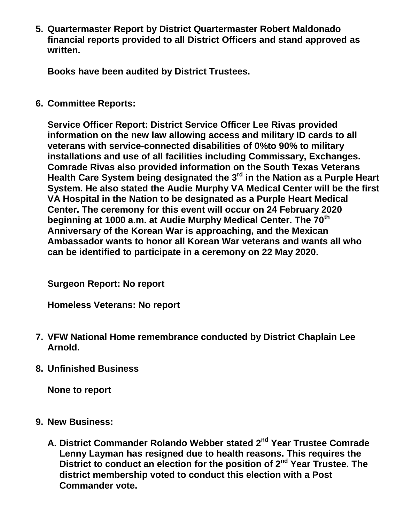**5. Quartermaster Report by District Quartermaster Robert Maldonado financial reports provided to all District Officers and stand approved as written.**

**Books have been audited by District Trustees.**

**6. Committee Reports:**

**Service Officer Report: District Service Officer Lee Rivas provided information on the new law allowing access and military ID cards to all veterans with service-connected disabilities of 0%to 90% to military installations and use of all facilities including Commissary, Exchanges. Comrade Rivas also provided information on the South Texas Veterans Health Care System being designated the 3rd in the Nation as a Purple Heart System. He also stated the Audie Murphy VA Medical Center will be the first VA Hospital in the Nation to be designated as a Purple Heart Medical Center. The ceremony for this event will occur on 24 February 2020 beginning at 1000 a.m. at Audie Murphy Medical Center. The 70th Anniversary of the Korean War is approaching, and the Mexican Ambassador wants to honor all Korean War veterans and wants all who can be identified to participate in a ceremony on 22 May 2020.**

**Surgeon Report: No report**

**Homeless Veterans: No report**

- **7. VFW National Home remembrance conducted by District Chaplain Lee Arnold.**
- **8. Unfinished Business**

**None to report**

- **9. New Business:**
	- **A. District Commander Rolando Webber stated 2nd Year Trustee Comrade Lenny Layman has resigned due to health reasons. This requires the District to conduct an election for the position of 2nd Year Trustee. The district membership voted to conduct this election with a Post Commander vote.**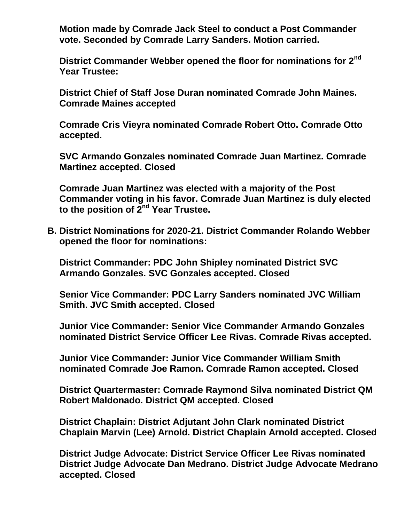**Motion made by Comrade Jack Steel to conduct a Post Commander vote. Seconded by Comrade Larry Sanders. Motion carried.**

**District Commander Webber opened the floor for nominations for 2nd Year Trustee:**

**District Chief of Staff Jose Duran nominated Comrade John Maines. Comrade Maines accepted**

**Comrade Cris Vieyra nominated Comrade Robert Otto. Comrade Otto accepted.**

**SVC Armando Gonzales nominated Comrade Juan Martinez. Comrade Martinez accepted. Closed**

**Comrade Juan Martinez was elected with a majority of the Post Commander voting in his favor. Comrade Juan Martinez is duly elected to the position of 2nd Year Trustee.**

**B. District Nominations for 2020-21. District Commander Rolando Webber opened the floor for nominations:**

**District Commander: PDC John Shipley nominated District SVC Armando Gonzales. SVC Gonzales accepted. Closed**

**Senior Vice Commander: PDC Larry Sanders nominated JVC William Smith. JVC Smith accepted. Closed**

**Junior Vice Commander: Senior Vice Commander Armando Gonzales nominated District Service Officer Lee Rivas. Comrade Rivas accepted.**

**Junior Vice Commander: Junior Vice Commander William Smith nominated Comrade Joe Ramon. Comrade Ramon accepted. Closed**

**District Quartermaster: Comrade Raymond Silva nominated District QM Robert Maldonado. District QM accepted. Closed**

**District Chaplain: District Adjutant John Clark nominated District Chaplain Marvin (Lee) Arnold. District Chaplain Arnold accepted. Closed**

**District Judge Advocate: District Service Officer Lee Rivas nominated District Judge Advocate Dan Medrano. District Judge Advocate Medrano accepted. Closed**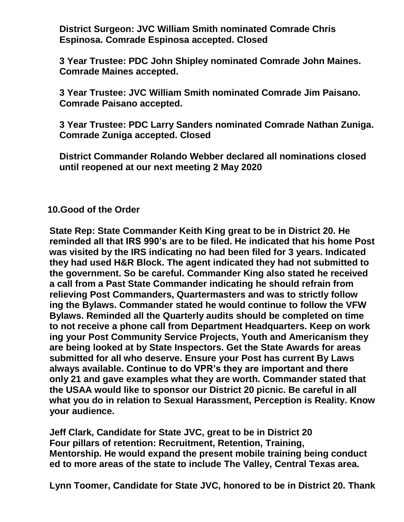**District Surgeon: JVC William Smith nominated Comrade Chris Espinosa. Comrade Espinosa accepted. Closed**

**3 Year Trustee: PDC John Shipley nominated Comrade John Maines. Comrade Maines accepted.** 

**3 Year Trustee: JVC William Smith nominated Comrade Jim Paisano. Comrade Paisano accepted.** 

**3 Year Trustee: PDC Larry Sanders nominated Comrade Nathan Zuniga. Comrade Zuniga accepted. Closed**

**District Commander Rolando Webber declared all nominations closed until reopened at our next meeting 2 May 2020**

## **10.Good of the Order**

 **State Rep: State Commander Keith King great to be in District 20. He reminded all that IRS 990's are to be filed. He indicated that his home Post was visited by the IRS indicating no had been filed for 3 years. Indicated they had used H&R Block. The agent indicated they had not submitted to the government. So be careful. Commander King also stated he received a call from a Past State Commander indicating he should refrain from relieving Post Commanders, Quartermasters and was to strictly follow ing the Bylaws. Commander stated he would continue to follow the VFW Bylaws. Reminded all the Quarterly audits should be completed on time to not receive a phone call from Department Headquarters. Keep on work ing your Post Community Service Projects, Youth and Americanism they are being looked at by State Inspectors. Get the State Awards for areas submitted for all who deserve. Ensure your Post has current By Laws always available. Continue to do VPR's they are important and there only 21 and gave examples what they are worth. Commander stated that the USAA would like to sponsor our District 20 picnic. Be careful in all what you do in relation to Sexual Harassment, Perception is Reality. Know your audience.**

 **Jeff Clark, Candidate for State JVC, great to be in District 20 Four pillars of retention: Recruitment, Retention, Training, Mentorship. He would expand the present mobile training being conduct ed to more areas of the state to include The Valley, Central Texas area.**

 **Lynn Toomer, Candidate for State JVC, honored to be in District 20. Thank**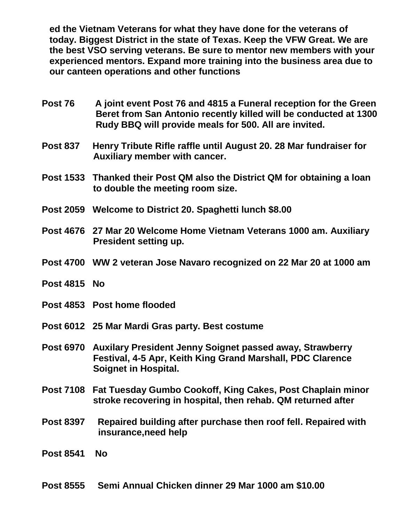**ed the Vietnam Veterans for what they have done for the veterans of today. Biggest District in the state of Texas. Keep the VFW Great. We are the best VSO serving veterans. Be sure to mentor new members with your experienced mentors. Expand more training into the business area due to our canteen operations and other functions**

- **Post 76 A joint event Post 76 and 4815 a Funeral reception for the Green Beret from San Antonio recently killed will be conducted at 1300 Rudy BBQ will provide meals for 500. All are invited.**
- **Post 837 Henry Tribute Rifle raffle until August 20. 28 Mar fundraiser for Auxiliary member with cancer.**
- **Post 1533 Thanked their Post QM also the District QM for obtaining a loan to double the meeting room size.**
- **Post 2059 Welcome to District 20. Spaghetti lunch \$8.00**
- **Post 4676 27 Mar 20 Welcome Home Vietnam Veterans 1000 am. Auxiliary President setting up.**
- **Post 4700 WW 2 veteran Jose Navaro recognized on 22 Mar 20 at 1000 am**
- **Post 4815 No**
- **Post 4853 Post home flooded**
- **Post 6012 25 Mar Mardi Gras party. Best costume**
- **Post 6970 Auxilary President Jenny Soignet passed away, Strawberry Festival, 4-5 Apr, Keith King Grand Marshall, PDC Clarence Soignet in Hospital.**
- **Post 7108 Fat Tuesday Gumbo Cookoff, King Cakes, Post Chaplain minor stroke recovering in hospital, then rehab. QM returned after**
- **Post 8397 Repaired building after purchase then roof fell. Repaired with insurance,need help**
- **Post 8541 No**

## **Post 8555 Semi Annual Chicken dinner 29 Mar 1000 am \$10.00**